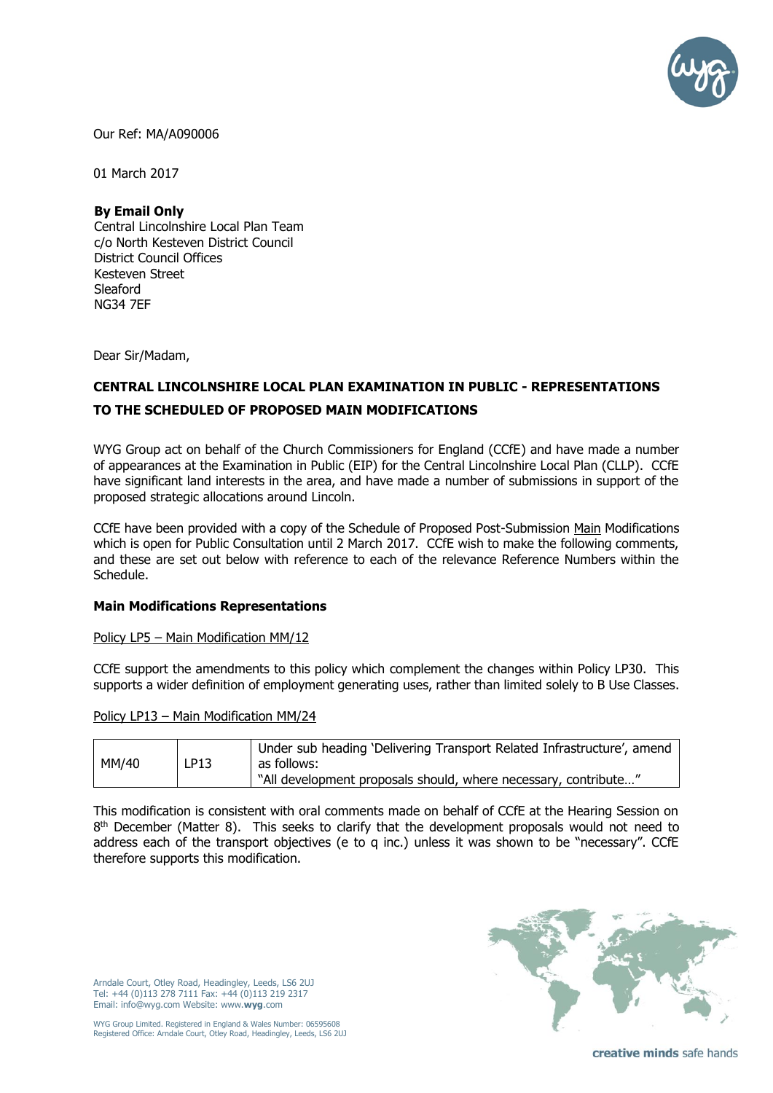

Our Ref: MA/A090006

01 March 2017

#### **By Email Only**

Central Lincolnshire Local Plan Team c/o North Kesteven District Council District Council Offices Kesteven Street Sleaford NG34 7EF

Dear Sir/Madam,

# **CENTRAL LINCOLNSHIRE LOCAL PLAN EXAMINATION IN PUBLIC - REPRESENTATIONS TO THE SCHEDULED OF PROPOSED MAIN MODIFICATIONS**

WYG Group act on behalf of the Church Commissioners for England (CCfE) and have made a number of appearances at the Examination in Public (EIP) for the Central Lincolnshire Local Plan (CLLP). CCfE have significant land interests in the area, and have made a number of submissions in support of the proposed strategic allocations around Lincoln.

CCfE have been provided with a copy of the Schedule of Proposed Post-Submission Main Modifications which is open for Public Consultation until 2 March 2017. CCfE wish to make the following comments, and these are set out below with reference to each of the relevance Reference Numbers within the Schedule.

#### **Main Modifications Representations**

Policy LP5 – Main Modification MM/12

CCfE support the amendments to this policy which complement the changes within Policy LP30. This supports a wider definition of employment generating uses, rather than limited solely to B Use Classes.

|  | Policy LP13 - Main Modification MM/24 |  |
|--|---------------------------------------|--|
|  |                                       |  |

| MM/40 | LP13 | Under sub heading 'Delivering Transport Related Infrastructure', amend<br>as follows: |
|-------|------|---------------------------------------------------------------------------------------|
|       |      | "All development proposals should, where necessary, contribute                        |

This modification is consistent with oral comments made on behalf of CCfE at the Hearing Session on  $8<sup>th</sup>$  December (Matter 8). This seeks to clarify that the development proposals would not need to address each of the transport objectives (e to q inc.) unless it was shown to be "necessary". CCfE therefore supports this modification.

Arndale Court, Otley Road, Headingley, Leeds, LS6 2UJ Tel: +44 (0)113 278 7111 Fax: +44 (0)113 219 2317 Email: info@wyg.com Website: www.**wyg**.com

WYG Group Limited. Registered in England & Wales Number: 06595608 Registered Office: Arndale Court, Otley Road, Headingley, Leeds, LS6 2UJ



creative minds safe hands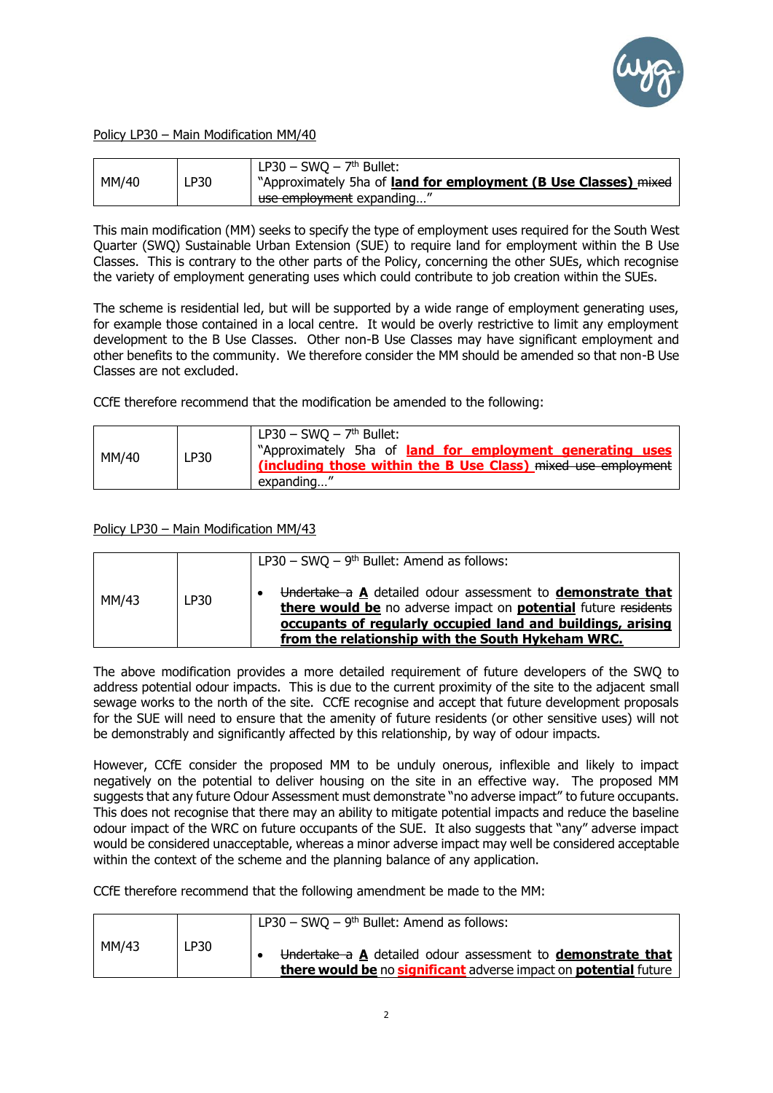

Policy LP30 – Main Modification MM/40

| MM/40 | LP30 | LP30 – SWQ – $7th$ Bullet:<br>"Approximately 5ha of <b>land for employment (B Use Classes)</b> mixed |
|-------|------|------------------------------------------------------------------------------------------------------|
|       |      | use employment expanding                                                                             |

This main modification (MM) seeks to specify the type of employment uses required for the South West Quarter (SWQ) Sustainable Urban Extension (SUE) to require land for employment within the B Use Classes. This is contrary to the other parts of the Policy, concerning the other SUEs, which recognise the variety of employment generating uses which could contribute to job creation within the SUEs.

The scheme is residential led, but will be supported by a wide range of employment generating uses, for example those contained in a local centre. It would be overly restrictive to limit any employment development to the B Use Classes. Other non-B Use Classes may have significant employment and other benefits to the community. We therefore consider the MM should be amended so that non-B Use Classes are not excluded.

CCfE therefore recommend that the modification be amended to the following:

| MM/40 | LP30 | $LPS0 - SWQ - 7th Bullet:$<br>"Approximately 5ha of <b>land for employment generating uses</b><br>(including those within the B Use Class) mixed use employment<br>expanding |
|-------|------|------------------------------------------------------------------------------------------------------------------------------------------------------------------------------|
|-------|------|------------------------------------------------------------------------------------------------------------------------------------------------------------------------------|

Policy LP30 – Main Modification MM/43

|       |      | LP30 – SWQ – $9th$ Bullet: Amend as follows:                                                                                                                                                                                                      |
|-------|------|---------------------------------------------------------------------------------------------------------------------------------------------------------------------------------------------------------------------------------------------------|
| MM/43 | LP30 | Undertake a A detailed odour assessment to demonstrate that<br>there would be no adverse impact on potential future residents<br>occupants of regularly occupied land and buildings, arising<br>from the relationship with the South Hykeham WRC. |

The above modification provides a more detailed requirement of future developers of the SWQ to address potential odour impacts. This is due to the current proximity of the site to the adjacent small sewage works to the north of the site. CCfE recognise and accept that future development proposals for the SUE will need to ensure that the amenity of future residents (or other sensitive uses) will not be demonstrably and significantly affected by this relationship, by way of odour impacts.

However, CCfE consider the proposed MM to be unduly onerous, inflexible and likely to impact negatively on the potential to deliver housing on the site in an effective way. The proposed MM suggests that any future Odour Assessment must demonstrate "no adverse impact" to future occupants. This does not recognise that there may an ability to mitigate potential impacts and reduce the baseline odour impact of the WRC on future occupants of the SUE. It also suggests that "any" adverse impact would be considered unacceptable, whereas a minor adverse impact may well be considered acceptable within the context of the scheme and the planning balance of any application.

CCfE therefore recommend that the following amendment be made to the MM:

|       |      | $LPS0 - SWQ - 9th Bullet: Amond as follows:$                                                                                           |
|-------|------|----------------------------------------------------------------------------------------------------------------------------------------|
| MM/43 | LP30 | Undertake a A detailed odour assessment to <b>demonstrate that</b><br>there would be no significant adverse impact on potential future |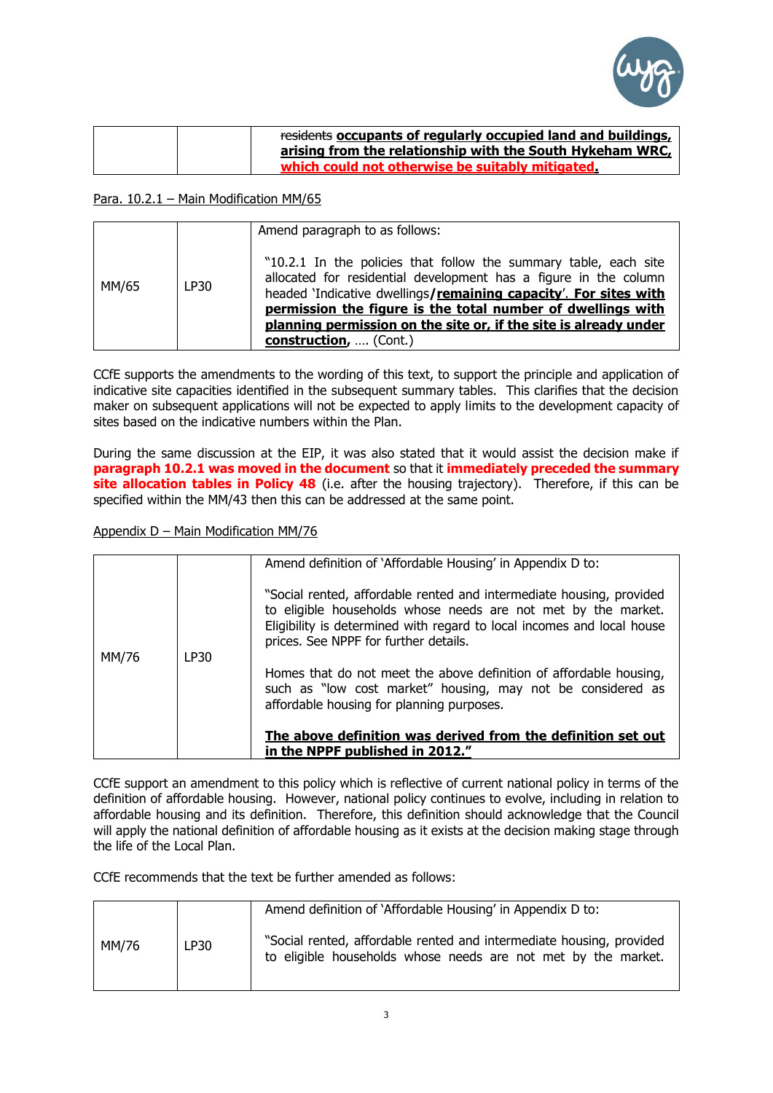

| residents occupants of regularly occupied land and buildings, |
|---------------------------------------------------------------|
| arising from the relationship with the South Hykeham WRC,     |
| which could not otherwise be suitably mitigated.              |

### Para. 10.2.1 – Main Modification MM/65

| MM/65 | LP30 | Amend paragraph to as follows:<br>"10.2.1 In the policies that follow the summary table, each site<br>allocated for residential development has a figure in the column<br>headed 'Indicative dwellings/remaining capacity'. For sites with<br>permission the figure is the total number of dwellings with<br>planning permission on the site or, if the site is already under<br>construction,  (Cont.) |
|-------|------|---------------------------------------------------------------------------------------------------------------------------------------------------------------------------------------------------------------------------------------------------------------------------------------------------------------------------------------------------------------------------------------------------------|

CCfE supports the amendments to the wording of this text, to support the principle and application of indicative site capacities identified in the subsequent summary tables. This clarifies that the decision maker on subsequent applications will not be expected to apply limits to the development capacity of sites based on the indicative numbers within the Plan.

During the same discussion at the EIP, it was also stated that it would assist the decision make if **paragraph 10.2.1 was moved in the document** so that it **immediately preceded the summary site allocation tables in Policy 48** (i.e. after the housing trajectory). Therefore, if this can be specified within the MM/43 then this can be addressed at the same point.

## Appendix D – Main Modification MM/76

|       |      | Amend definition of 'Affordable Housing' in Appendix D to:             |
|-------|------|------------------------------------------------------------------------|
|       |      |                                                                        |
|       |      |                                                                        |
|       |      | "Social rented, affordable rented and intermediate housing, provided   |
|       |      |                                                                        |
|       |      | to eligible households whose needs are not met by the market.          |
|       |      | Eligibility is determined with regard to local incomes and local house |
|       |      |                                                                        |
|       |      | prices. See NPPF for further details.                                  |
| MM/76 | LP30 |                                                                        |
|       |      |                                                                        |
|       |      | Homes that do not meet the above definition of affordable housing,     |
|       |      | such as "low cost market" housing, may not be considered as            |
|       |      |                                                                        |
|       |      | affordable housing for planning purposes.                              |
|       |      |                                                                        |
|       |      |                                                                        |
|       |      | The above definition was derived from the definition set out           |
|       |      | in the NPPF published in 2012."                                        |
|       |      |                                                                        |

CCfE support an amendment to this policy which is reflective of current national policy in terms of the definition of affordable housing. However, national policy continues to evolve, including in relation to affordable housing and its definition. Therefore, this definition should acknowledge that the Council will apply the national definition of affordable housing as it exists at the decision making stage through the life of the Local Plan.

CCfE recommends that the text be further amended as follows:

|       |             | Amend definition of 'Affordable Housing' in Appendix D to:                                                                            |
|-------|-------------|---------------------------------------------------------------------------------------------------------------------------------------|
| MM/76 | <b>LP30</b> | "Social rented, affordable rented and intermediate housing, provided<br>to eligible households whose needs are not met by the market. |